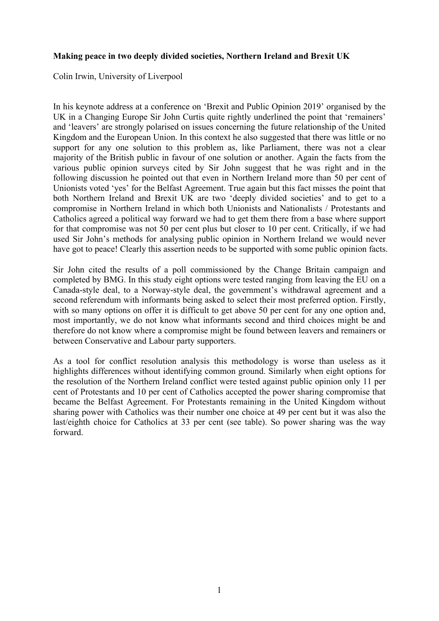## **Making peace in two deeply divided societies, Northern Ireland and Brexit UK**

Colin Irwin, University of Liverpool

In his keynote address at a conference on 'Brexit and Public Opinion 2019' organised by the UK in a Changing Europe Sir John Curtis quite rightly underlined the point that 'remainers' and 'leavers' are strongly polarised on issues concerning the future relationship of the United Kingdom and the European Union. In this context he also suggested that there was little or no support for any one solution to this problem as, like Parliament, there was not a clear majority of the British public in favour of one solution or another. Again the facts from the various public opinion surveys cited by Sir John suggest that he was right and in the following discussion he pointed out that even in Northern Ireland more than 50 per cent of Unionists voted 'yes' for the Belfast Agreement. True again but this fact misses the point that both Northern Ireland and Brexit UK are two 'deeply divided societies' and to get to a compromise in Northern Ireland in which both Unionists and Nationalists / Protestants and Catholics agreed a political way forward we had to get them there from a base where support for that compromise was not 50 per cent plus but closer to 10 per cent. Critically, if we had used Sir John's methods for analysing public opinion in Northern Ireland we would never have got to peace! Clearly this assertion needs to be supported with some public opinion facts.

Sir John cited the results of a poll commissioned by the Change Britain campaign and completed by BMG. In this study eight options were tested ranging from leaving the EU on a Canada-style deal, to a Norway-style deal, the government's withdrawal agreement and a second referendum with informants being asked to select their most preferred option. Firstly, with so many options on offer it is difficult to get above 50 per cent for any one option and, most importantly, we do not know what informants second and third choices might be and therefore do not know where a compromise might be found between leavers and remainers or between Conservative and Labour party supporters.

As a tool for conflict resolution analysis this methodology is worse than useless as it highlights differences without identifying common ground. Similarly when eight options for the resolution of the Northern Ireland conflict were tested against public opinion only 11 per cent of Protestants and 10 per cent of Catholics accepted the power sharing compromise that became the Belfast Agreement. For Protestants remaining in the United Kingdom without sharing power with Catholics was their number one choice at 49 per cent but it was also the last/eighth choice for Catholics at 33 per cent (see table). So power sharing was the way forward.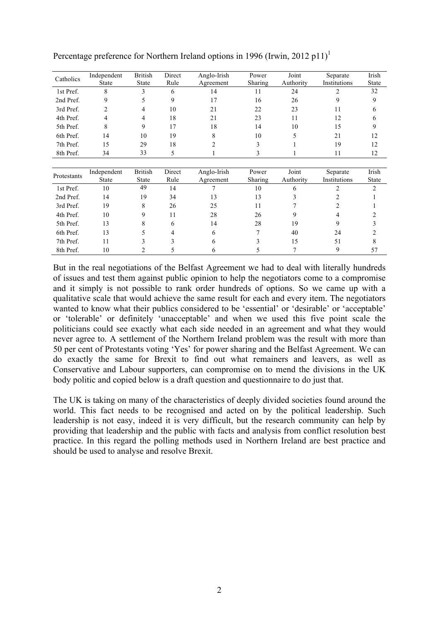| Catholics   | Independent    | <b>British</b> | Direct         | Anglo-Irish                       | Power        | Joint        | Separate       | Irish        |
|-------------|----------------|----------------|----------------|-----------------------------------|--------------|--------------|----------------|--------------|
|             | <b>State</b>   | <b>State</b>   | Rule           | Agreement                         | Sharing      | Authority    | Institutions   | <b>State</b> |
| 1st Pref.   | 8              | 3              | 6              | 14                                | 11           | 24           | $\overline{c}$ | 32           |
| 2nd Pref.   | 9              | 5              | 9              | 17                                | 16           | 26           | 9              | 9            |
| 3rd Pref.   | $\overline{c}$ | 4              | 10             | 21                                | 22           | 23           | 11             | 6            |
| 4th Pref.   | 4              | 4              | 18             | 21                                | 23           | 11           | 12             | h            |
| 5th Pref.   | 8              | 9              | 17             | 18                                | 14           | 10           | 15             | 9            |
| 6th Pref.   | 14             | 10             | 19             | 8                                 | 10           |              | 21             | 12           |
| 7th Pref.   | 15             | 29             | 18             | 2                                 | 3            |              | 19             | 12           |
| 8th Pref.   | 34             | 33             | 5              |                                   | 3            |              | 11             | 12           |
|             |                |                |                |                                   |              |              |                |              |
|             | Independent    | <b>British</b> | Direct         | Anglo-Irish                       | Power        | Joint        | Separate       | Irish        |
| Protestants | <b>State</b>   | <b>State</b>   | Rule           | Sharing<br>Authority<br>Agreement | Institutions | <b>State</b> |                |              |
| 1st Pref.   | 10             | 49             | 14             |                                   | 10           | 6            |                | 2            |
| $2nd$ Prof  | $1\Lambda$     | 10             | 3 <sub>A</sub> | 13                                | 12           |              |                |              |

Percentage preference for Northern Ireland options in 1996 (Irwin, 2012 p11)<sup>1</sup>

| Protestants | Independent<br>State | <b>British</b><br><b>State</b> | Direct<br>Rule | Anglo-Irish<br>Agreement | Power<br>Sharing | Joint<br>Authority | Separate<br>Institutions | Irish<br><b>State</b> |
|-------------|----------------------|--------------------------------|----------------|--------------------------|------------------|--------------------|--------------------------|-----------------------|
| 1st Pref.   | 10                   | 49                             | 14             |                          | 10               | <sub>0</sub>       |                          |                       |
| 2nd Pref.   | 14                   | 19                             | 34             | 13                       | 13               |                    |                          |                       |
| 3rd Pref.   | 19                   | 8                              | 26             | 25                       | 11               |                    |                          |                       |
| 4th Pref.   | 10                   | 9                              |                | 28                       | 26               |                    |                          |                       |
| 5th Pref.   | 13                   | 8                              | b              | 14                       | 28               | 19                 | 9                        |                       |
| 6th Pref.   | 13                   |                                |                | 6                        |                  | 40                 | 24                       |                       |
| 7th Pref.   |                      |                                |                | b                        |                  | 15                 | 51                       |                       |
| 8th Pref.   | 10                   |                                |                |                          |                  |                    | 9                        | 57                    |

But in the real negotiations of the Belfast Agreement we had to deal with literally hundreds of issues and test them against public opinion to help the negotiators come to a compromise and it simply is not possible to rank order hundreds of options. So we came up with a qualitative scale that would achieve the same result for each and every item. The negotiators wanted to know what their publics considered to be 'essential' or 'desirable' or 'acceptable' or 'tolerable' or definitely 'unacceptable' and when we used this five point scale the politicians could see exactly what each side needed in an agreement and what they would never agree to. A settlement of the Northern Ireland problem was the result with more than 50 per cent of Protestants voting 'Yes' for power sharing and the Belfast Agreement. We can do exactly the same for Brexit to find out what remainers and leavers, as well as Conservative and Labour supporters, can compromise on to mend the divisions in the UK body politic and copied below is a draft question and questionnaire to do just that.

The UK is taking on many of the characteristics of deeply divided societies found around the world. This fact needs to be recognised and acted on by the political leadership. Such leadership is not easy, indeed it is very difficult, but the research community can help by providing that leadership and the public with facts and analysis from conflict resolution best practice. In this regard the polling methods used in Northern Ireland are best practice and should be used to analyse and resolve Brexit.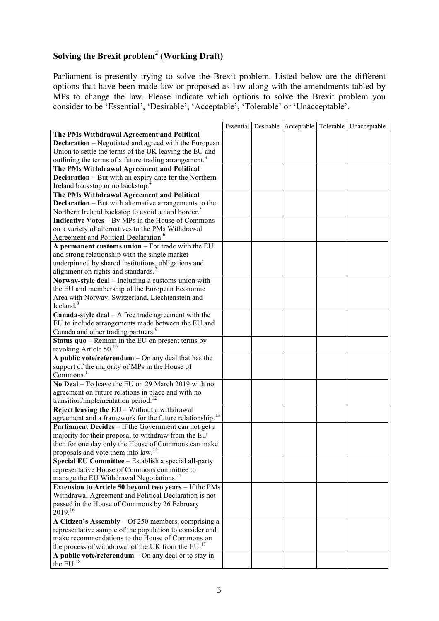## **Solving the Brexit problem2 (Working Draft)**

Parliament is presently trying to solve the Brexit problem. Listed below are the different options that have been made law or proposed as law along with the amendments tabled by MPs to change the law. Please indicate which options to solve the Brexit problem you consider to be 'Essential', 'Desirable', 'Acceptable', 'Tolerable' or 'Unacceptable'.

|                                                                      |  |  | Essential   Desirable   Acceptable   Tolerable   Unacceptable |
|----------------------------------------------------------------------|--|--|---------------------------------------------------------------|
| The PMs Withdrawal Agreement and Political                           |  |  |                                                               |
| <b>Declaration</b> – Negotiated and agreed with the European         |  |  |                                                               |
| Union to settle the terms of the UK leaving the EU and               |  |  |                                                               |
| outlining the terms of a future trading arrangement. <sup>3</sup>    |  |  |                                                               |
| The PMs Withdrawal Agreement and Political                           |  |  |                                                               |
| <b>Declaration</b> – But with an expiry date for the Northern        |  |  |                                                               |
| Ireland backstop or no backstop. <sup>4</sup>                        |  |  |                                                               |
| The PMs Withdrawal Agreement and Political                           |  |  |                                                               |
| <b>Declaration</b> – But with alternative arrangements to the        |  |  |                                                               |
| Northern Ireland backstop to avoid a hard border. <sup>5</sup>       |  |  |                                                               |
| <b>Indicative Votes - By MPs in the House of Commons</b>             |  |  |                                                               |
| on a variety of alternatives to the PMs Withdrawal                   |  |  |                                                               |
| Agreement and Political Declaration. <sup>6</sup>                    |  |  |                                                               |
| A permanent customs union - For trade with the EU                    |  |  |                                                               |
| and strong relationship with the single market                       |  |  |                                                               |
| underpinned by shared institutions, obligations and                  |  |  |                                                               |
| alignment on rights and standards. <sup>7</sup>                      |  |  |                                                               |
| Norway-style deal - Including a customs union with                   |  |  |                                                               |
| the EU and membership of the European Economic                       |  |  |                                                               |
| Area with Norway, Switzerland, Liechtenstein and                     |  |  |                                                               |
| Iceland. <sup>8</sup>                                                |  |  |                                                               |
| <b>Canada-style deal</b> $- A$ free trade agreement with the         |  |  |                                                               |
| EU to include arrangements made between the EU and                   |  |  |                                                               |
| Canada and other trading partners. <sup>9</sup>                      |  |  |                                                               |
| Status quo – Remain in the EU on present terms by                    |  |  |                                                               |
| revoking Article $50^{10}$                                           |  |  |                                                               |
| A public vote/referendum $-$ On any deal that has the                |  |  |                                                               |
| support of the majority of MPs in the House of                       |  |  |                                                               |
| Commons. <sup>11</sup>                                               |  |  |                                                               |
| No Deal – To leave the EU on 29 March 2019 with no                   |  |  |                                                               |
| agreement on future relations in place and with no                   |  |  |                                                               |
| transition/implementation period. <sup>12</sup>                      |  |  |                                                               |
| Reject leaving the $EU - Without$ a withdrawal                       |  |  |                                                               |
| agreement and a framework for the future relationship. <sup>13</sup> |  |  |                                                               |
| Parliament Decides - If the Government can not get a                 |  |  |                                                               |
| majority for their proposal to withdraw from the EU                  |  |  |                                                               |
| then for one day only the House of Commons can make                  |  |  |                                                               |
| proposals and vote them into law. <sup>14</sup>                      |  |  |                                                               |
| Special EU Committee - Establish a special all-party                 |  |  |                                                               |
| representative House of Commons committee to                         |  |  |                                                               |
| manage the EU Withdrawal Negotiations. <sup>15</sup>                 |  |  |                                                               |
| Extension to Article 50 beyond two years - If the PMs                |  |  |                                                               |
| Withdrawal Agreement and Political Declaration is not                |  |  |                                                               |
| passed in the House of Commons by 26 February                        |  |  |                                                               |
| 2019. <sup>16</sup>                                                  |  |  |                                                               |
| A Citizen's Assembly - Of 250 members, comprising a                  |  |  |                                                               |
| representative sample of the population to consider and              |  |  |                                                               |
| make recommendations to the House of Commons on                      |  |  |                                                               |
| the process of withdrawal of the UK from the EU. <sup>17</sup>       |  |  |                                                               |
| A public vote/referendum $-$ On any deal or to stay in               |  |  |                                                               |
| the EU. <sup>18</sup>                                                |  |  |                                                               |